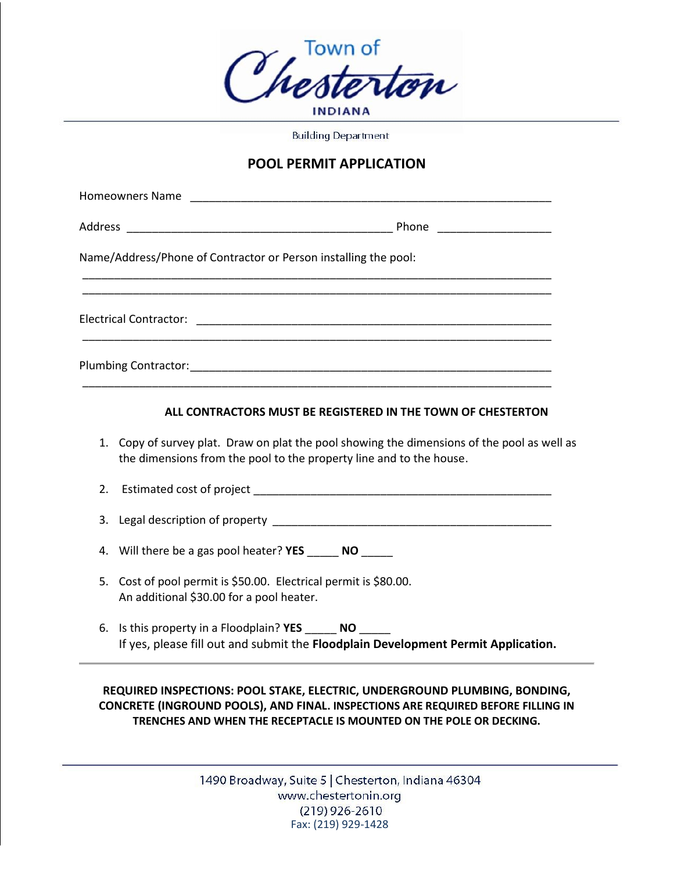

**Building Department** 

## **POOL PERMIT APPLICATION**

| Name/Address/Phone of Contractor or Person installing the pool: |  |
|-----------------------------------------------------------------|--|
|                                                                 |  |
|                                                                 |  |
|                                                                 |  |

## **ALL CONTRACTORS MUST BE REGISTERED IN THE TOWN OF CHESTERTON**

- 1. Copy of survey plat. Draw on plat the pool showing the dimensions of the pool as well as the dimensions from the pool to the property line and to the house.
- 2. Estimated cost of project **Example 2.** Estimated cost of project
- 3. Legal description of property
- 4. Will there be a gas pool heater? **YES** \_\_\_\_\_ **NO** \_\_\_\_\_
- 5. Cost of pool permit is \$50.00. Electrical permit is \$80.00. An additional \$30.00 for a pool heater.
- 6. Is this property in a Floodplain? **YES** \_\_\_\_\_ **NO** \_\_\_\_\_ If yes, please fill out and submit the **Floodplain Development Permit Application.**

**REQUIRED INSPECTIONS: POOL STAKE, ELECTRIC, UNDERGROUND PLUMBING, BONDING, CONCRETE (INGROUND POOLS), AND FINAL. INSPECTIONS ARE REQUIRED BEFORE FILLING IN TRENCHES AND WHEN THE RECEPTACLE IS MOUNTED ON THE POLE OR DECKING.**

> 1490 Broadway, Suite 5 | Chesterton, Indiana 46304 www.chestertonin.org  $(219)$  926-2610 Fax: (219) 929-1428